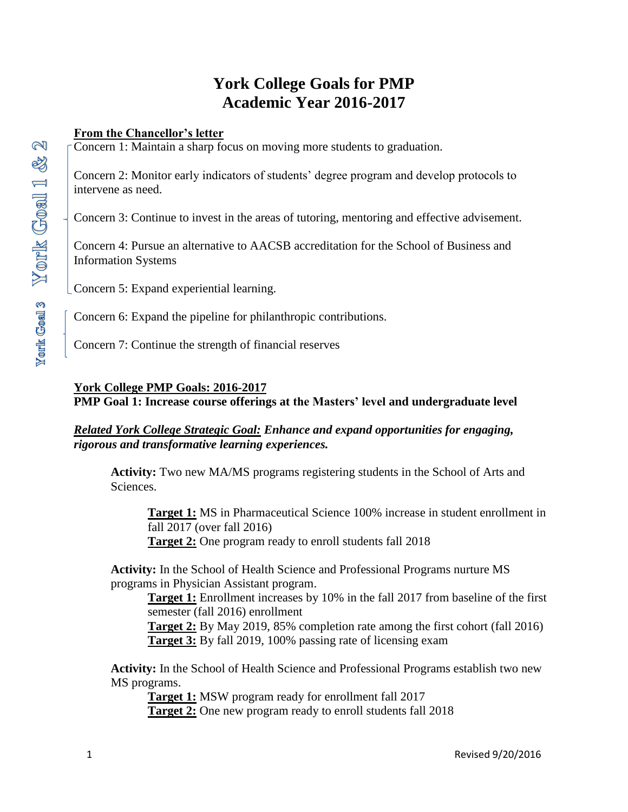# **York College Goals for PMP Academic Year 2016-2017**

### **From the Chancellor's letter**

Concern 1: Maintain a sharp focus on moving more students to graduation.

Concern 2: Monitor early indicators of students' degree program and develop protocols to intervene as need.

Concern 3: Continue to invest in the areas of tutoring, mentoring and effective advisement.

Concern 4: Pursue an alternative to AACSB accreditation for the School of Business and Information Systems

Concern 5: Expand experiential learning.

Concern 6: Expand the pipeline for philanthropic contributions.

Concern 7: Continue the strength of financial reserves

## **York College PMP Goals: 2016-2017**

**PMP Goal 1: Increase course offerings at the Masters' level and undergraduate level** 

*Related York College Strategic Goal: Enhance and expand opportunities for engaging, rigorous and transformative learning experiences.* 

**Activity:** Two new MA/MS programs registering students in the School of Arts and Sciences.

**Target 1:** MS in Pharmaceutical Science 100% increase in student enrollment in fall 2017 (over fall 2016) **Target 2:** One program ready to enroll students fall 2018

**Activity:** In the School of Health Science and Professional Programs nurture MS programs in Physician Assistant program.

**Target 1:** Enrollment increases by 10% in the fall 2017 from baseline of the first semester (fall 2016) enrollment

**Target 2:** By May 2019, 85% completion rate among the first cohort (fall 2016) **Target 3:** By fall 2019, 100% passing rate of licensing exam

**Activity:** In the School of Health Science and Professional Programs establish two new MS programs.

 **Target 1:** MSW program ready for enrollment fall 2017 **Target 2:** One new program ready to enroll students fall 2018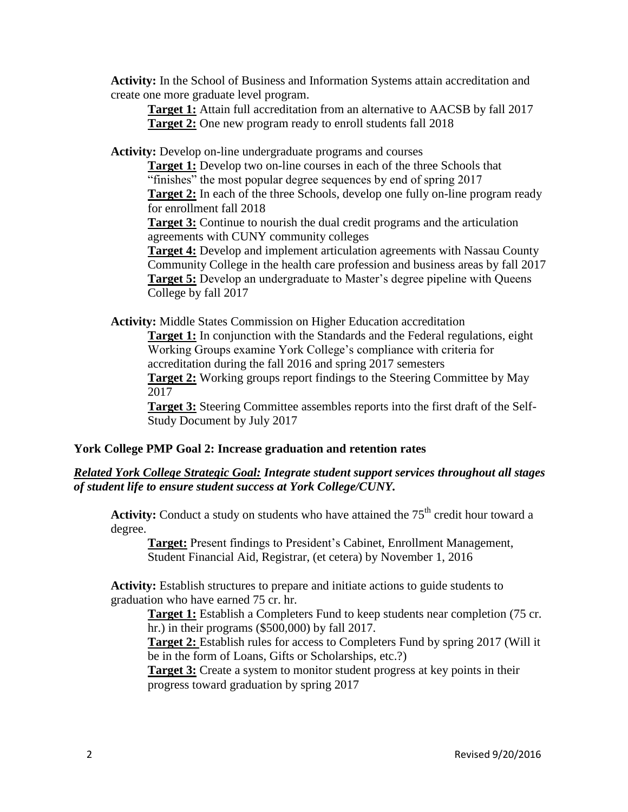**Activity:** In the School of Business and Information Systems attain accreditation and create one more graduate level program.

**Target 1:** Attain full accreditation from an alternative to AACSB by fall 2017 **Target 2:** One new program ready to enroll students fall 2018

**Activity:** Develop on-line undergraduate programs and courses

**Target 1:** Develop two on-line courses in each of the three Schools that "finishes" the most popular degree sequences by end of spring 2017 **Target 2:** In each of the three Schools, develop one fully on-line program ready for enrollment fall 2018 **Target 3:** Continue to nourish the dual credit programs and the articulation agreements with CUNY community colleges

**Target 4:** Develop and implement articulation agreements with Nassau County Community College in the health care profession and business areas by fall 2017 **Target 5:** Develop an undergraduate to Master's degree pipeline with Queens College by fall 2017

**Activity:** Middle States Commission on Higher Education accreditation

**Target 1:** In conjunction with the Standards and the Federal regulations, eight Working Groups examine York College's compliance with criteria for accreditation during the fall 2016 and spring 2017 semesters

**Target 2:** Working groups report findings to the Steering Committee by May 2017

**Target 3:** Steering Committee assembles reports into the first draft of the Self-Study Document by July 2017

#### **York College PMP Goal 2: Increase graduation and retention rates**

#### *Related York College Strategic Goal: Integrate student support services throughout all stages of student life to ensure student success at York College/CUNY.*

Activity: Conduct a study on students who have attained the 75<sup>th</sup> credit hour toward a degree.

**Target:** Present findings to President's Cabinet, Enrollment Management, Student Financial Aid, Registrar, (et cetera) by November 1, 2016

**Activity:** Establish structures to prepare and initiate actions to guide students to graduation who have earned 75 cr. hr.

**Target 1:** Establish a Completers Fund to keep students near completion (75 cr. hr.) in their programs (\$500,000) by fall 2017.

**Target 2:** Establish rules for access to Completers Fund by spring 2017 (Will it be in the form of Loans, Gifts or Scholarships, etc.?)

**Target 3:** Create a system to monitor student progress at key points in their progress toward graduation by spring 2017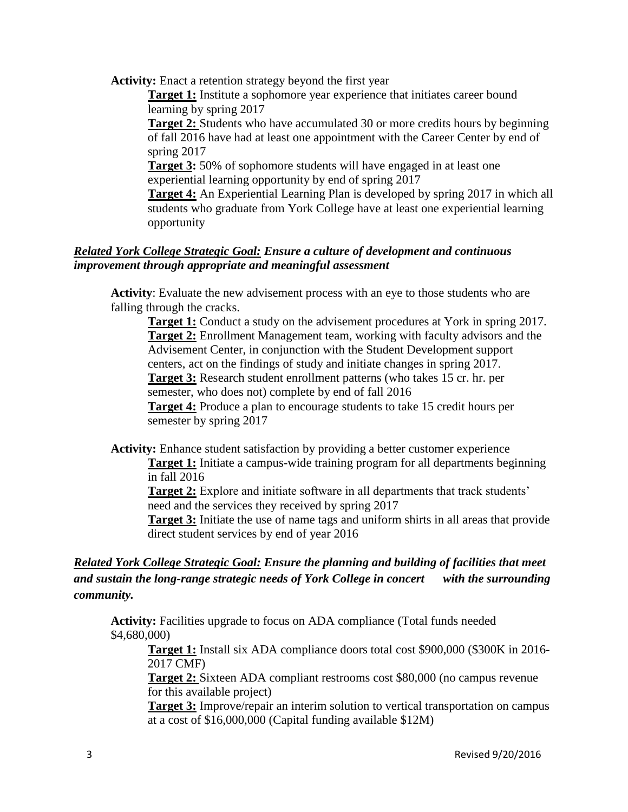**Activity:** Enact a retention strategy beyond the first year

**Target 1:** Institute a sophomore year experience that initiates career bound learning by spring 2017

**Target 2:** Students who have accumulated 30 or more credits hours by beginning of fall 2016 have had at least one appointment with the Career Center by end of spring 2017

**Target 3:** 50% of sophomore students will have engaged in at least one experiential learning opportunity by end of spring 2017

**Target 4:** An Experiential Learning Plan is developed by spring 2017 in which all students who graduate from York College have at least one experiential learning opportunity

#### *Related York College Strategic Goal: Ensure a culture of development and continuous improvement through appropriate and meaningful assessment*

**Activity**: Evaluate the new advisement process with an eye to those students who are falling through the cracks.

**Target 1:** Conduct a study on the advisement procedures at York in spring 2017. **Target 2:** Enrollment Management team, working with faculty advisors and the Advisement Center, in conjunction with the Student Development support centers, act on the findings of study and initiate changes in spring 2017. **Target 3:** Research student enrollment patterns (who takes 15 cr. hr. per semester, who does not) complete by end of fall 2016 **Target 4:** Produce a plan to encourage students to take 15 credit hours per semester by spring 2017

**Activity:** Enhance student satisfaction by providing a better customer experience

**Target 1:** Initiate a campus-wide training program for all departments beginning in fall 2016

**Target 2:** Explore and initiate software in all departments that track students' need and the services they received by spring 2017

**Target 3:** Initiate the use of name tags and uniform shirts in all areas that provide direct student services by end of year 2016

## *Related York College Strategic Goal: Ensure the planning and building of facilities that meet and sustain the long-range strategic needs of York College in concert with the surrounding community.*

**Activity:** Facilities upgrade to focus on ADA compliance (Total funds needed \$4,680,000)

**Target 1:** Install six ADA compliance doors total cost \$900,000 (\$300K in 2016- 2017 CMF)

**Target 2:** Sixteen ADA compliant restrooms cost \$80,000 (no campus revenue for this available project)

**Target 3:** Improve/repair an interim solution to vertical transportation on campus at a cost of \$16,000,000 (Capital funding available \$12M)